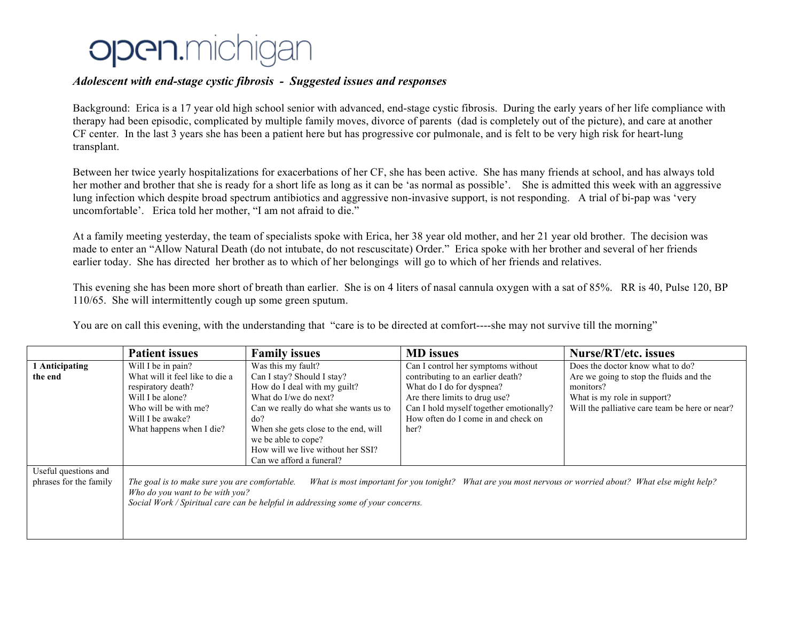## **Open.**michigan

## *Adolescent with end-stage cystic fibrosis - Suggested issues and responses*

Background: Erica is a 17 year old high school senior with advanced, end-stage cystic fibrosis. During the early years of her life compliance with therapy had been episodic, complicated by multiple family moves, divorce of parents (dad is completely out of the picture), and care at another CF center. In the last 3 years she has been a patient here but has progressive cor pulmonale, and is felt to be very high risk for heart-lung transplant.

Between her twice yearly hospitalizations for exacerbations of her CF, she has been active. She has many friends at school, and has always told her mother and brother that she is ready for a short life as long as it can be 'as normal as possible'. She is admitted this week with an aggressive lung infection which despite broad spectrum antibiotics and aggressive non-invasive support, is not responding. A trial of bi-pap was 'very uncomfortable'. Erica told her mother, "I am not afraid to die."

At a family meeting yesterday, the team of specialists spoke with Erica, her 38 year old mother, and her 21 year old brother. The decision was made to enter an "Allow Natural Death (do not intubate, do not rescuscitate) Order." Erica spoke with her brother and several of her friends earlier today. She has directed her brother as to which of her belongings will go to which of her friends and relatives.

This evening she has been more short of breath than earlier. She is on 4 liters of nasal cannula oxygen with a sat of 85%. RR is 40, Pulse 120, BP 110/65. She will intermittently cough up some green sputum.

You are on call this evening, with the understanding that "care is to be directed at comfort----she may not survive till the morning"

|                                                | <b>Patient issues</b>                                                                                                                                                                                                                                                             | <b>Family issues</b>                                                                                                                                                                                                                                                | <b>MD</b> issues                                                                                                                                                                          | <b>Nurse/RT/etc. issues</b>                                                                                                           |
|------------------------------------------------|-----------------------------------------------------------------------------------------------------------------------------------------------------------------------------------------------------------------------------------------------------------------------------------|---------------------------------------------------------------------------------------------------------------------------------------------------------------------------------------------------------------------------------------------------------------------|-------------------------------------------------------------------------------------------------------------------------------------------------------------------------------------------|---------------------------------------------------------------------------------------------------------------------------------------|
| 1 Anticipating                                 | Will I be in pain?                                                                                                                                                                                                                                                                | Was this my fault?                                                                                                                                                                                                                                                  | Can I control her symptoms without                                                                                                                                                        | Does the doctor know what to do?                                                                                                      |
| the end                                        | What will it feel like to die a<br>respiratory death?<br>Will I be alone?<br>Who will be with me?<br>Will I be awake?<br>What happens when I die?                                                                                                                                 | Can I stay? Should I stay?<br>How do I deal with my guilt?<br>What do I/we do next?<br>Can we really do what she wants us to<br>do?<br>When she gets close to the end, will<br>we be able to cope?<br>How will we live without her SSI?<br>Can we afford a funeral? | contributing to an earlier death?<br>What do I do for dyspnea?<br>Are there limits to drug use?<br>Can I hold myself together emotionally?<br>How often do I come in and check on<br>her? | Are we going to stop the fluids and the<br>monitors?<br>What is my role in support?<br>Will the palliative care team be here or near? |
| Useful questions and<br>phrases for the family | What is most important for you tonight? What are you most nervous or worried about? What else might help?<br>The goal is to make sure you are comfortable.<br>Who do you want to be with you?<br>Social Work / Spiritual care can be helpful in addressing some of your concerns. |                                                                                                                                                                                                                                                                     |                                                                                                                                                                                           |                                                                                                                                       |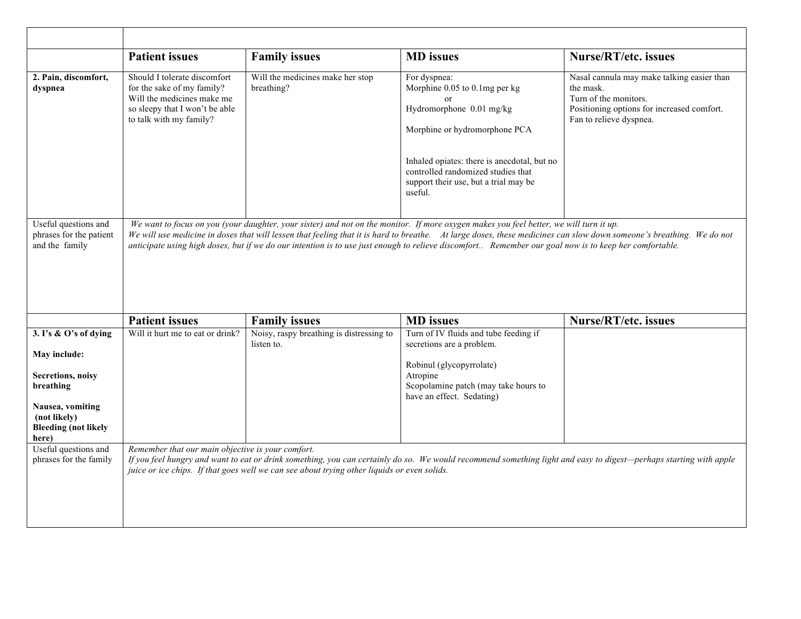|                                                                          | <b>Patient issues</b>                                                                                                                                                                                                                                                                                                                                                                                                                                                   | <b>Family issues</b>                                                                        | <b>MD</b> issues                                                                                                                                                                                                                                                | <b>Nurse/RT/etc. issues</b>                                                                                                                                       |
|--------------------------------------------------------------------------|-------------------------------------------------------------------------------------------------------------------------------------------------------------------------------------------------------------------------------------------------------------------------------------------------------------------------------------------------------------------------------------------------------------------------------------------------------------------------|---------------------------------------------------------------------------------------------|-----------------------------------------------------------------------------------------------------------------------------------------------------------------------------------------------------------------------------------------------------------------|-------------------------------------------------------------------------------------------------------------------------------------------------------------------|
| 2. Pain, discomfort,<br>dyspnea                                          | Should I tolerate discomfort<br>for the sake of my family?<br>Will the medicines make me<br>so sleepy that I won't be able<br>to talk with my family?                                                                                                                                                                                                                                                                                                                   | Will the medicines make her stop<br>breathing?                                              | For dyspnea:<br>Morphine 0.05 to 0.1mg per kg<br>$\alpha$<br>Hydromorphone 0.01 mg/kg<br>Morphine or hydromorphone PCA<br>Inhaled opiates: there is anecdotal, but no<br>controlled randomized studies that<br>support their use, but a trial may be<br>useful. | Nasal cannula may make talking easier than<br>the mask.<br>Turn of the monitors.<br>Positioning options for increased comfort.<br>Fan to relieve dyspnea.         |
| Useful questions and<br>phrases for the patient<br>and the family        | We want to focus on you (your daughter, your sister) and not on the monitor. If more oxygen makes you feel better, we will turn it up.<br>We will use medicine in doses that will lessen that feeling that it is hard to breathe. At large doses, these medicines can slow down someone's breathing. We do not<br>anticipate using high doses, but if we do our intention is to use just enough to relieve discomfort Remember our goal now is to keep her comfortable. |                                                                                             |                                                                                                                                                                                                                                                                 |                                                                                                                                                                   |
|                                                                          | <b>Patient issues</b>                                                                                                                                                                                                                                                                                                                                                                                                                                                   | <b>Family issues</b>                                                                        | <b>MD</b> issues                                                                                                                                                                                                                                                | Nurse/RT/etc. issues                                                                                                                                              |
| 3. I's & O's of dying<br>May include:<br>Secretions, noisy<br>breathing  | Will it hurt me to eat or drink?                                                                                                                                                                                                                                                                                                                                                                                                                                        | Noisy, raspy breathing is distressing to<br>listen to.                                      | Turn of IV fluids and tube feeding if<br>secretions are a problem.<br>Robinul (glycopyrrolate)<br>Atropine<br>Scopolamine patch (may take hours to<br>have an effect. Sedating)                                                                                 |                                                                                                                                                                   |
| Nausea, vomiting<br>(not likely)<br><b>Bleeding (not likely</b><br>here) |                                                                                                                                                                                                                                                                                                                                                                                                                                                                         |                                                                                             |                                                                                                                                                                                                                                                                 |                                                                                                                                                                   |
| Useful questions and<br>phrases for the family                           | Remember that our main objective is your comfort.                                                                                                                                                                                                                                                                                                                                                                                                                       | juice or ice chips. If that goes well we can see about trying other liquids or even solids. |                                                                                                                                                                                                                                                                 | If you feel hungry and want to eat or drink something, you can certainly do so. We would recommend something light and easy to digest—perhaps starting with apple |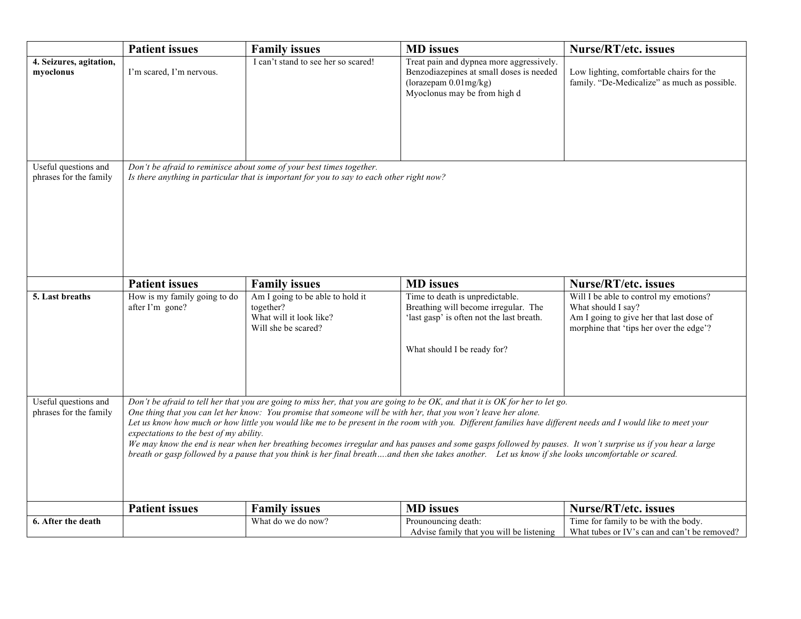|                                                | <b>Patient issues</b>                                                                                                                                                                                                                                                                                                                                                                                                                                                                                                                                                                                                                                                                                                                                                              | <b>Family issues</b>                                                                            | <b>MD</b> issues                                                                                                                                    | Nurse/RT/etc. issues                                                                                                                                |
|------------------------------------------------|------------------------------------------------------------------------------------------------------------------------------------------------------------------------------------------------------------------------------------------------------------------------------------------------------------------------------------------------------------------------------------------------------------------------------------------------------------------------------------------------------------------------------------------------------------------------------------------------------------------------------------------------------------------------------------------------------------------------------------------------------------------------------------|-------------------------------------------------------------------------------------------------|-----------------------------------------------------------------------------------------------------------------------------------------------------|-----------------------------------------------------------------------------------------------------------------------------------------------------|
| 4. Seizures, agitation,<br>myoclonus           | I'm scared, I'm nervous.                                                                                                                                                                                                                                                                                                                                                                                                                                                                                                                                                                                                                                                                                                                                                           | I can't stand to see her so scared!                                                             | Treat pain and dypnea more aggressively.<br>Benzodiazepines at small doses is needed<br>(lorazepam 0.01mg/kg)<br>Myoclonus may be from high d       | Low lighting, comfortable chairs for the<br>family. "De-Medicalize" as much as possible.                                                            |
| Useful questions and<br>phrases for the family | Don't be afraid to reminisce about some of your best times together.<br>Is there anything in particular that is important for you to say to each other right now?                                                                                                                                                                                                                                                                                                                                                                                                                                                                                                                                                                                                                  |                                                                                                 |                                                                                                                                                     |                                                                                                                                                     |
|                                                | <b>Patient issues</b>                                                                                                                                                                                                                                                                                                                                                                                                                                                                                                                                                                                                                                                                                                                                                              | <b>Family issues</b>                                                                            | <b>MD</b> issues                                                                                                                                    | Nurse/RT/etc. issues                                                                                                                                |
| 5. Last breaths                                | How is my family going to do<br>after I'm gone?                                                                                                                                                                                                                                                                                                                                                                                                                                                                                                                                                                                                                                                                                                                                    | Am I going to be able to hold it<br>together?<br>What will it look like?<br>Will she be scared? | Time to death is unpredictable.<br>Breathing will become irregular. The<br>'last gasp' is often not the last breath.<br>What should I be ready for? | Will I be able to control my emotions?<br>What should I say?<br>Am I going to give her that last dose of<br>morphine that 'tips her over the edge'? |
| Useful questions and<br>phrases for the family | Don't be afraid to tell her that you are going to miss her, that you are going to be OK, and that it is OK for her to let go.<br>One thing that you can let her know: You promise that someone will be with her, that you won't leave her alone.<br>Let us know how much or how little you would like me to be present in the room with you. Different families have different needs and I would like to meet your<br>expectations to the best of my ability.<br>We may know the end is near when her breathing becomes irregular and has pauses and some gasps followed by pauses. It won't surprise us if you hear a large<br>breath or gasp followed by a pause that you think is her final breathand then she takes another. Let us know if she looks uncomfortable or scared. |                                                                                                 |                                                                                                                                                     |                                                                                                                                                     |
|                                                | <b>Patient issues</b>                                                                                                                                                                                                                                                                                                                                                                                                                                                                                                                                                                                                                                                                                                                                                              | <b>Family issues</b>                                                                            | <b>MD</b> issues                                                                                                                                    | Nurse/RT/etc. issues                                                                                                                                |
| 6. After the death                             |                                                                                                                                                                                                                                                                                                                                                                                                                                                                                                                                                                                                                                                                                                                                                                                    | What do we do now?                                                                              | Prounouncing death:<br>Advise family that you will be listening                                                                                     | Time for family to be with the body.<br>What tubes or IV's can and can't be removed?                                                                |